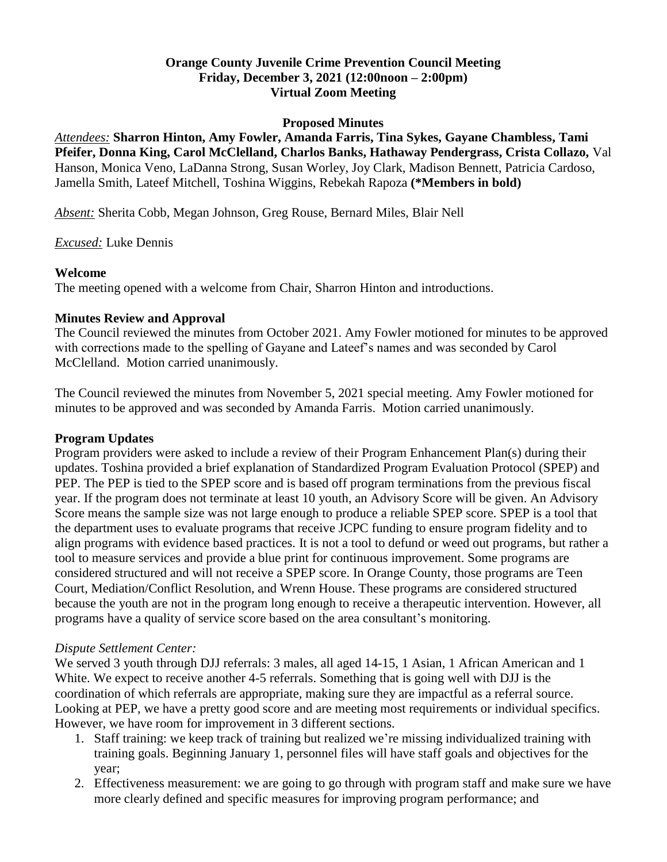## **Orange County Juvenile Crime Prevention Council Meeting Friday, December 3, 2021 (12:00noon – 2:00pm) Virtual Zoom Meeting**

#### **Proposed Minutes**

*Attendees:* **Sharron Hinton, Amy Fowler, Amanda Farris, Tina Sykes, Gayane Chambless, Tami Pfeifer, Donna King, Carol McClelland, Charlos Banks, Hathaway Pendergrass, Crista Collazo,** Val Hanson, Monica Veno, LaDanna Strong, Susan Worley, Joy Clark, Madison Bennett, Patricia Cardoso, Jamella Smith, Lateef Mitchell, Toshina Wiggins, Rebekah Rapoza **(\*Members in bold)**

*Absent:* Sherita Cobb, Megan Johnson, Greg Rouse, Bernard Miles, Blair Nell

#### *Excused:* Luke Dennis

#### **Welcome**

The meeting opened with a welcome from Chair, Sharron Hinton and introductions.

# **Minutes Review and Approval**

The Council reviewed the minutes from October 2021. Amy Fowler motioned for minutes to be approved with corrections made to the spelling of Gayane and Lateef's names and was seconded by Carol McClelland. Motion carried unanimously.

The Council reviewed the minutes from November 5, 2021 special meeting. Amy Fowler motioned for minutes to be approved and was seconded by Amanda Farris. Motion carried unanimously.

## **Program Updates**

Program providers were asked to include a review of their Program Enhancement Plan(s) during their updates. Toshina provided a brief explanation of Standardized Program Evaluation Protocol (SPEP) and PEP. The PEP is tied to the SPEP score and is based off program terminations from the previous fiscal year. If the program does not terminate at least 10 youth, an Advisory Score will be given. An Advisory Score means the sample size was not large enough to produce a reliable SPEP score. SPEP is a tool that the department uses to evaluate programs that receive JCPC funding to ensure program fidelity and to align programs with evidence based practices. It is not a tool to defund or weed out programs, but rather a tool to measure services and provide a blue print for continuous improvement. Some programs are considered structured and will not receive a SPEP score. In Orange County, those programs are Teen Court, Mediation/Conflict Resolution, and Wrenn House. These programs are considered structured because the youth are not in the program long enough to receive a therapeutic intervention. However, all programs have a quality of service score based on the area consultant's monitoring.

#### *Dispute Settlement Center:*

We served 3 youth through DJJ referrals: 3 males, all aged 14-15, 1 Asian, 1 African American and 1 White. We expect to receive another 4-5 referrals. Something that is going well with DJJ is the coordination of which referrals are appropriate, making sure they are impactful as a referral source. Looking at PEP, we have a pretty good score and are meeting most requirements or individual specifics. However, we have room for improvement in 3 different sections.

- 1. Staff training: we keep track of training but realized we're missing individualized training with training goals. Beginning January 1, personnel files will have staff goals and objectives for the year;
- 2. Effectiveness measurement: we are going to go through with program staff and make sure we have more clearly defined and specific measures for improving program performance; and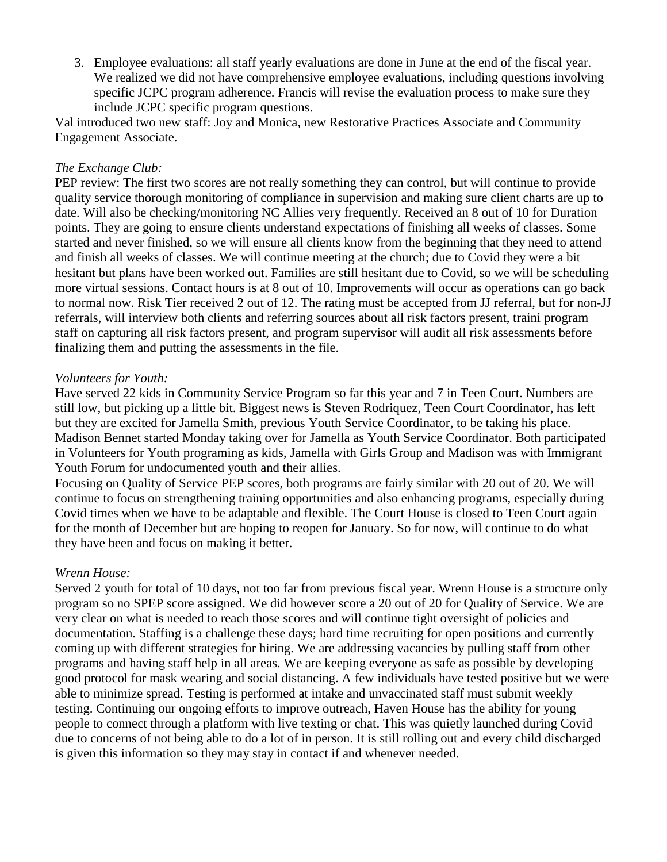3. Employee evaluations: all staff yearly evaluations are done in June at the end of the fiscal year. We realized we did not have comprehensive employee evaluations, including questions involving specific JCPC program adherence. Francis will revise the evaluation process to make sure they include JCPC specific program questions.

Val introduced two new staff: Joy and Monica, new Restorative Practices Associate and Community Engagement Associate.

#### *The Exchange Club:*

PEP review: The first two scores are not really something they can control, but will continue to provide quality service thorough monitoring of compliance in supervision and making sure client charts are up to date. Will also be checking/monitoring NC Allies very frequently. Received an 8 out of 10 for Duration points. They are going to ensure clients understand expectations of finishing all weeks of classes. Some started and never finished, so we will ensure all clients know from the beginning that they need to attend and finish all weeks of classes. We will continue meeting at the church; due to Covid they were a bit hesitant but plans have been worked out. Families are still hesitant due to Covid, so we will be scheduling more virtual sessions. Contact hours is at 8 out of 10. Improvements will occur as operations can go back to normal now. Risk Tier received 2 out of 12. The rating must be accepted from JJ referral, but for non-JJ referrals, will interview both clients and referring sources about all risk factors present, traini program staff on capturing all risk factors present, and program supervisor will audit all risk assessments before finalizing them and putting the assessments in the file.

## *Volunteers for Youth:*

Have served 22 kids in Community Service Program so far this year and 7 in Teen Court. Numbers are still low, but picking up a little bit. Biggest news is Steven Rodriquez, Teen Court Coordinator, has left but they are excited for Jamella Smith, previous Youth Service Coordinator, to be taking his place. Madison Bennet started Monday taking over for Jamella as Youth Service Coordinator. Both participated in Volunteers for Youth programing as kids, Jamella with Girls Group and Madison was with Immigrant Youth Forum for undocumented youth and their allies.

Focusing on Quality of Service PEP scores, both programs are fairly similar with 20 out of 20. We will continue to focus on strengthening training opportunities and also enhancing programs, especially during Covid times when we have to be adaptable and flexible. The Court House is closed to Teen Court again for the month of December but are hoping to reopen for January. So for now, will continue to do what they have been and focus on making it better.

# *Wrenn House:*

Served 2 youth for total of 10 days, not too far from previous fiscal year. Wrenn House is a structure only program so no SPEP score assigned. We did however score a 20 out of 20 for Quality of Service. We are very clear on what is needed to reach those scores and will continue tight oversight of policies and documentation. Staffing is a challenge these days; hard time recruiting for open positions and currently coming up with different strategies for hiring. We are addressing vacancies by pulling staff from other programs and having staff help in all areas. We are keeping everyone as safe as possible by developing good protocol for mask wearing and social distancing. A few individuals have tested positive but we were able to minimize spread. Testing is performed at intake and unvaccinated staff must submit weekly testing. Continuing our ongoing efforts to improve outreach, Haven House has the ability for young people to connect through a platform with live texting or chat. This was quietly launched during Covid due to concerns of not being able to do a lot of in person. It is still rolling out and every child discharged is given this information so they may stay in contact if and whenever needed.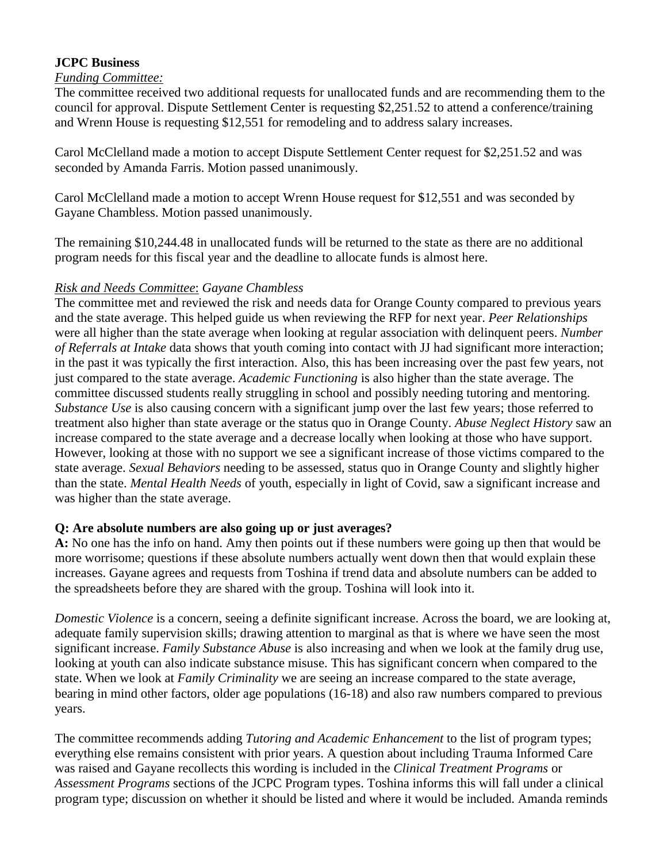# **JCPC Business**

## *Funding Committee:*

The committee received two additional requests for unallocated funds and are recommending them to the council for approval. Dispute Settlement Center is requesting \$2,251.52 to attend a conference/training and Wrenn House is requesting \$12,551 for remodeling and to address salary increases.

Carol McClelland made a motion to accept Dispute Settlement Center request for \$2,251.52 and was seconded by Amanda Farris. Motion passed unanimously.

Carol McClelland made a motion to accept Wrenn House request for \$12,551 and was seconded by Gayane Chambless. Motion passed unanimously.

The remaining \$10,244.48 in unallocated funds will be returned to the state as there are no additional program needs for this fiscal year and the deadline to allocate funds is almost here.

## *Risk and Needs Committee*: *Gayane Chambless*

The committee met and reviewed the risk and needs data for Orange County compared to previous years and the state average. This helped guide us when reviewing the RFP for next year. *Peer Relationships* were all higher than the state average when looking at regular association with delinquent peers. *Number of Referrals at Intake* data shows that youth coming into contact with JJ had significant more interaction; in the past it was typically the first interaction. Also, this has been increasing over the past few years, not just compared to the state average. *Academic Functioning* is also higher than the state average. The committee discussed students really struggling in school and possibly needing tutoring and mentoring. *Substance Use* is also causing concern with a significant jump over the last few years; those referred to treatment also higher than state average or the status quo in Orange County. *Abuse Neglect History* saw an increase compared to the state average and a decrease locally when looking at those who have support. However, looking at those with no support we see a significant increase of those victims compared to the state average. *Sexual Behaviors* needing to be assessed, status quo in Orange County and slightly higher than the state. *Mental Health Needs* of youth, especially in light of Covid, saw a significant increase and was higher than the state average.

# **Q: Are absolute numbers are also going up or just averages?**

**A:** No one has the info on hand. Amy then points out if these numbers were going up then that would be more worrisome; questions if these absolute numbers actually went down then that would explain these increases. Gayane agrees and requests from Toshina if trend data and absolute numbers can be added to the spreadsheets before they are shared with the group. Toshina will look into it.

*Domestic Violence* is a concern, seeing a definite significant increase. Across the board, we are looking at, adequate family supervision skills; drawing attention to marginal as that is where we have seen the most significant increase. *Family Substance Abuse* is also increasing and when we look at the family drug use, looking at youth can also indicate substance misuse. This has significant concern when compared to the state. When we look at *Family Criminality* we are seeing an increase compared to the state average, bearing in mind other factors, older age populations (16-18) and also raw numbers compared to previous years.

The committee recommends adding *Tutoring and Academic Enhancement* to the list of program types; everything else remains consistent with prior years. A question about including Trauma Informed Care was raised and Gayane recollects this wording is included in the *Clinical Treatment Programs* or *Assessment Programs* sections of the JCPC Program types. Toshina informs this will fall under a clinical program type; discussion on whether it should be listed and where it would be included. Amanda reminds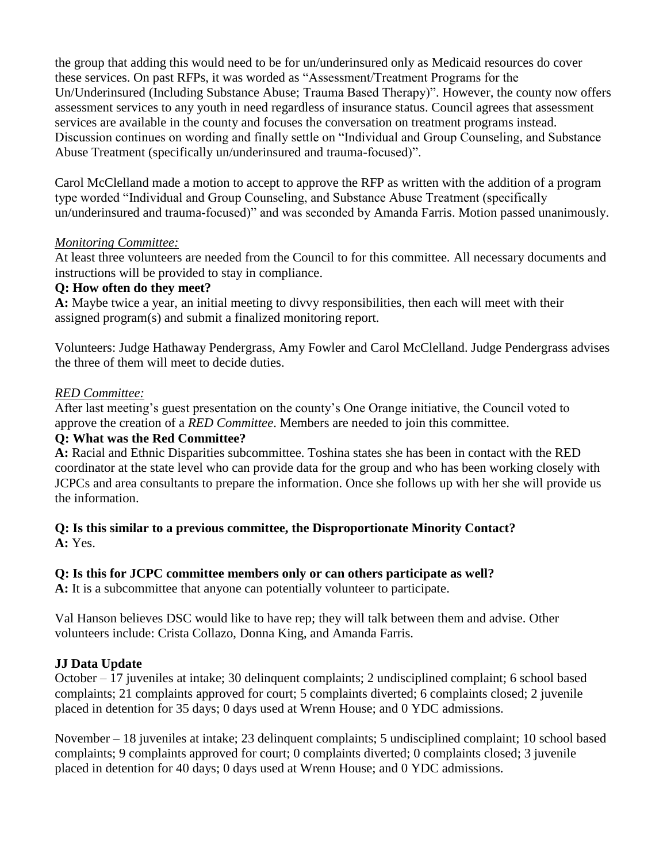the group that adding this would need to be for un/underinsured only as Medicaid resources do cover these services. On past RFPs, it was worded as "Assessment/Treatment Programs for the Un/Underinsured (Including Substance Abuse; Trauma Based Therapy)". However, the county now offers assessment services to any youth in need regardless of insurance status. Council agrees that assessment services are available in the county and focuses the conversation on treatment programs instead. Discussion continues on wording and finally settle on "Individual and Group Counseling, and Substance Abuse Treatment (specifically un/underinsured and trauma-focused)".

Carol McClelland made a motion to accept to approve the RFP as written with the addition of a program type worded "Individual and Group Counseling, and Substance Abuse Treatment (specifically un/underinsured and trauma-focused)" and was seconded by Amanda Farris. Motion passed unanimously.

# *Monitoring Committee:*

At least three volunteers are needed from the Council to for this committee. All necessary documents and instructions will be provided to stay in compliance.

## **Q: How often do they meet?**

**A:** Maybe twice a year, an initial meeting to divvy responsibilities, then each will meet with their assigned program(s) and submit a finalized monitoring report.

Volunteers: Judge Hathaway Pendergrass, Amy Fowler and Carol McClelland. Judge Pendergrass advises the three of them will meet to decide duties.

## *RED Committee:*

After last meeting's guest presentation on the county's One Orange initiative, the Council voted to approve the creation of a *RED Committee*. Members are needed to join this committee.

## **Q: What was the Red Committee?**

**A:** Racial and Ethnic Disparities subcommittee. Toshina states she has been in contact with the RED coordinator at the state level who can provide data for the group and who has been working closely with JCPCs and area consultants to prepare the information. Once she follows up with her she will provide us the information.

## **Q: Is this similar to a previous committee, the Disproportionate Minority Contact? A:** Yes.

#### **Q: Is this for JCPC committee members only or can others participate as well?**

**A:** It is a subcommittee that anyone can potentially volunteer to participate.

Val Hanson believes DSC would like to have rep; they will talk between them and advise. Other volunteers include: Crista Collazo, Donna King, and Amanda Farris.

# **JJ Data Update**

October – 17 juveniles at intake; 30 delinquent complaints; 2 undisciplined complaint; 6 school based complaints; 21 complaints approved for court; 5 complaints diverted; 6 complaints closed; 2 juvenile placed in detention for 35 days; 0 days used at Wrenn House; and 0 YDC admissions.

November – 18 juveniles at intake; 23 delinquent complaints; 5 undisciplined complaint; 10 school based complaints; 9 complaints approved for court; 0 complaints diverted; 0 complaints closed; 3 juvenile placed in detention for 40 days; 0 days used at Wrenn House; and 0 YDC admissions.